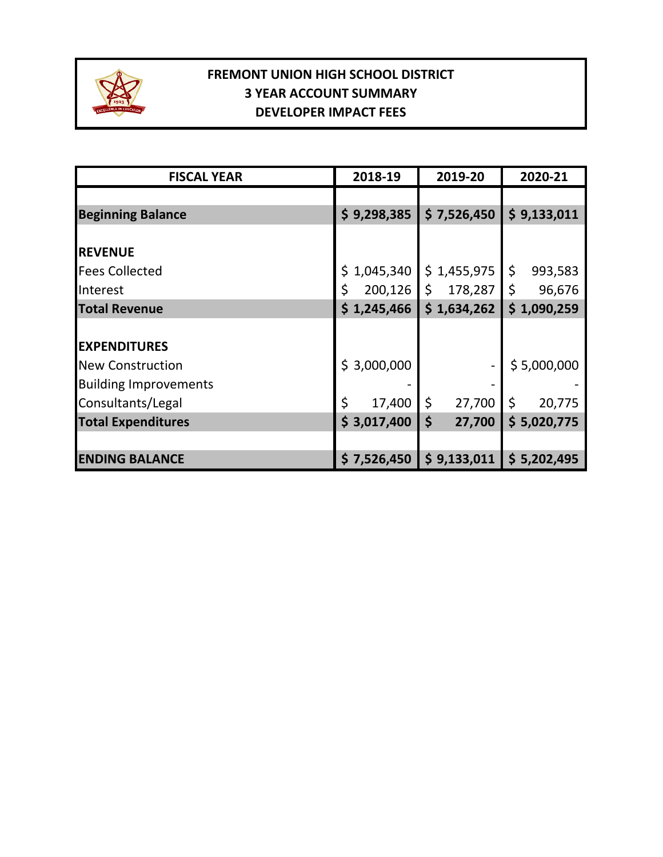

# **FREMONT UNION HIGH SCHOOL DISTRICT 3 YEAR ACCOUNT SUMMARY DEVELOPER IMPACT FEES**

| <b>FISCAL YEAR</b>           | 2018-19          | 2019-20       | 2020-21       |
|------------------------------|------------------|---------------|---------------|
|                              |                  |               |               |
| <b>Beginning Balance</b>     | \$9,298,385      | \$7,526,450   | \$9,133,011   |
|                              |                  |               |               |
| <b>REVENUE</b>               |                  |               |               |
| <b>Fees Collected</b>        | 1,045,340<br>\$. | \$1,455,975   | \$<br>993,583 |
| Interest                     | 200,126<br>\$    | \$<br>178,287 | \$<br>96,676  |
| <b>Total Revenue</b>         | \$1,245,466      | \$1,634,262   | \$1,090,259   |
|                              |                  |               |               |
| <b>EXPENDITURES</b>          |                  |               |               |
| <b>New Construction</b>      | \$3,000,000      |               | \$5,000,000   |
| <b>Building Improvements</b> |                  |               |               |
| Consultants/Legal            | \$<br>17,400     | \$<br>27,700  | \$<br>20,775  |
| <b>Total Expenditures</b>    | \$3,017,400      | \$<br>27,700  | \$5,020,775   |
|                              |                  |               |               |
| <b>ENDING BALANCE</b>        | \$7,526,450      | \$9,133,011   | \$ 5,202,495  |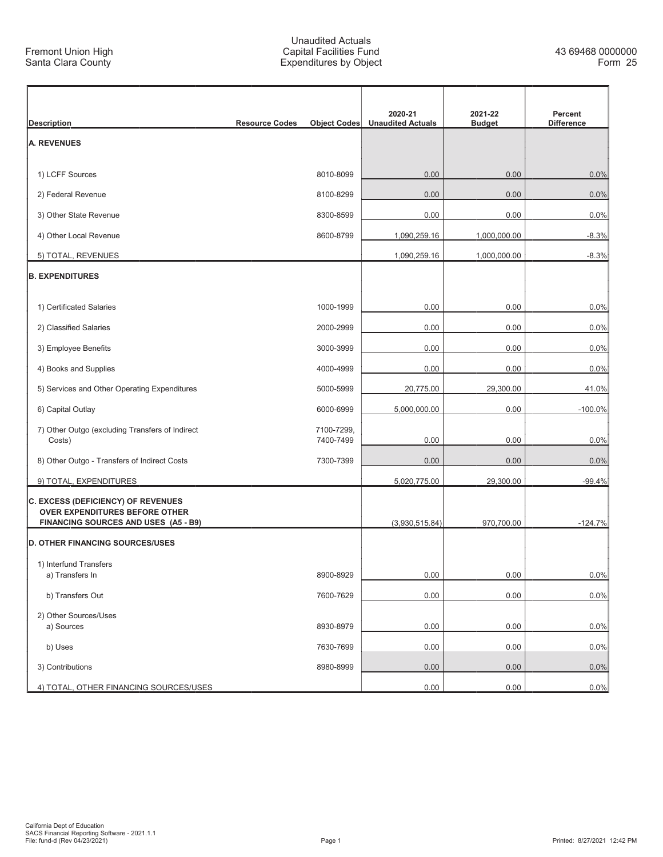r

### Unaudited Actuals Capital Facilities Fund Expenditures by Object

| <b>Description</b>                                                            | <b>Resource Codes</b> | <b>Obiect Codes</b>     | 2020-21<br><b>Unaudited Actuals</b> | 2021-22<br><b>Budget</b> | Percent<br><b>Difference</b> |
|-------------------------------------------------------------------------------|-----------------------|-------------------------|-------------------------------------|--------------------------|------------------------------|
| <b>A. REVENUES</b>                                                            |                       |                         |                                     |                          |                              |
|                                                                               |                       |                         |                                     |                          |                              |
| 1) LCFF Sources                                                               |                       | 8010-8099               | 0.00                                | 0.00                     | 0.0%                         |
| 2) Federal Revenue                                                            |                       | 8100-8299               | 0.00                                | 0.00                     | 0.0%                         |
| 3) Other State Revenue                                                        |                       | 8300-8599               | 0.00                                | 0.00                     | 0.0%                         |
| 4) Other Local Revenue                                                        |                       | 8600-8799               | 1,090,259.16                        | 1,000,000.00             | $-8.3%$                      |
| 5) TOTAL, REVENUES                                                            |                       |                         | 1,090,259.16                        | 1,000,000.00             | $-8.3%$                      |
| <b>B. EXPENDITURES</b>                                                        |                       |                         |                                     |                          |                              |
| 1) Certificated Salaries                                                      |                       | 1000-1999               | 0.00                                | 0.00                     | 0.0%                         |
| 2) Classified Salaries                                                        |                       | 2000-2999               | 0.00                                | 0.00                     | 0.0%                         |
| 3) Employee Benefits                                                          |                       | 3000-3999               | 0.00                                | 0.00                     | 0.0%                         |
| 4) Books and Supplies                                                         |                       | 4000-4999               | 0.00                                | 0.00                     | 0.0%                         |
| 5) Services and Other Operating Expenditures                                  |                       | 5000-5999               | 20,775.00                           | 29,300.00                | 41.0%                        |
|                                                                               |                       |                         |                                     |                          |                              |
| 6) Capital Outlay                                                             |                       | 6000-6999               | 5,000,000.00                        | 0.00                     | $-100.0%$                    |
| 7) Other Outgo (excluding Transfers of Indirect<br>Costs)                     |                       | 7100-7299,<br>7400-7499 | 0.00                                | 0.00                     | 0.0%                         |
| 8) Other Outgo - Transfers of Indirect Costs                                  |                       | 7300-7399               | 0.00                                | 0.00                     | 0.0%                         |
| 9) TOTAL, EXPENDITURES                                                        |                       |                         | 5,020,775.00                        | 29,300.00                | $-99.4%$                     |
| C. EXCESS (DEFICIENCY) OF REVENUES                                            |                       |                         |                                     |                          |                              |
| <b>OVER EXPENDITURES BEFORE OTHER</b><br>FINANCING SOURCES AND USES (A5 - B9) |                       |                         | (3,930,515.84)                      | 970.700.00               | $-124.7%$                    |
| <b>D. OTHER FINANCING SOURCES/USES</b>                                        |                       |                         |                                     |                          |                              |
| 1) Interfund Transfers                                                        |                       |                         |                                     |                          |                              |
| a) Transfers In                                                               |                       | 8900-8929               | 0.00                                | 0.00                     | 0.0%                         |
| b) Transfers Out                                                              |                       | 7600-7629               | 0.00                                | 0.00                     | 0.0%                         |
| 2) Other Sources/Uses<br>a) Sources                                           |                       | 8930-8979               | 0.00                                | 0.00                     | 0.0%                         |
| b) Uses                                                                       |                       | 7630-7699               | 0.00                                | 0.00                     | 0.0%                         |
| 3) Contributions                                                              |                       |                         |                                     |                          |                              |
|                                                                               |                       | 8980-8999               | 0.00                                | 0.00                     | 0.0%                         |
| 4) TOTAL, OTHER FINANCING SOURCES/USES                                        |                       |                         | 0.00                                | 0.00                     | 0.0%                         |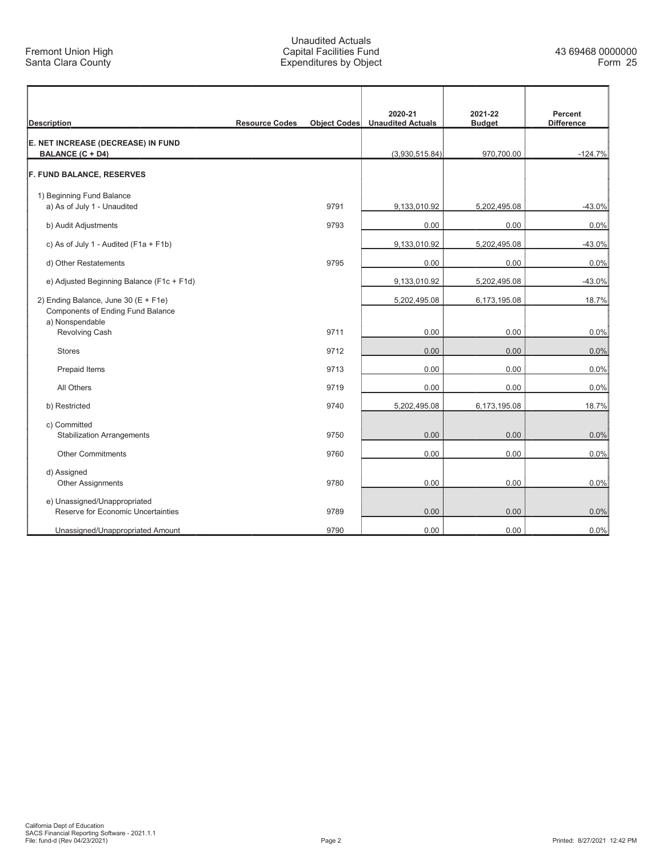## Unaudited Actuals Capital Facilities Fund Expenditures by Object

| <b>Description</b>                                                        | <b>Resource Codes</b> | <b>Object Codes</b> | 2020-21<br><b>Unaudited Actuals</b> | 2021-22<br><b>Budget</b> | Percent<br><b>Difference</b> |
|---------------------------------------------------------------------------|-----------------------|---------------------|-------------------------------------|--------------------------|------------------------------|
| E. NET INCREASE (DECREASE) IN FUND<br><b>BALANCE (C + D4)</b>             |                       |                     | (3,930,515.84)                      | 970,700.00               | $-124.7%$                    |
| <b>F. FUND BALANCE, RESERVES</b>                                          |                       |                     |                                     |                          |                              |
| 1) Beginning Fund Balance<br>a) As of July 1 - Unaudited                  |                       | 9791                | 9,133,010.92                        | 5,202,495.08             | $-43.0%$                     |
| b) Audit Adjustments                                                      |                       | 9793                | 0.00                                | 0.00                     | 0.0%                         |
| c) As of July 1 - Audited ( $F1a + F1b$ )                                 |                       |                     | 9,133,010.92                        | 5,202,495.08             | $-43.0%$                     |
| d) Other Restatements                                                     |                       | 9795                | 0.00                                | 0.00                     | 0.0%                         |
| e) Adjusted Beginning Balance (F1c + F1d)                                 |                       |                     | 9,133,010.92                        | 5,202,495.08             | $-43.0%$                     |
| 2) Ending Balance, June 30 (E + F1e)<br>Components of Ending Fund Balance |                       |                     | 5,202,495.08                        | 6,173,195.08             | 18.7%                        |
| a) Nonspendable<br>Revolving Cash                                         |                       | 9711                | 0.00                                | 0.00                     | 0.0%                         |
| <b>Stores</b>                                                             |                       | 9712                | 0.00                                | 0.00                     | 0.0%                         |
| Prepaid Items                                                             |                       | 9713                | 0.00                                | 0.00                     | 0.0%                         |
| All Others                                                                |                       | 9719                | 0.00                                | 0.00                     | 0.0%                         |
| b) Restricted                                                             |                       | 9740                | 5,202,495.08                        | 6,173,195.08             | 18.7%                        |
| c) Committed<br><b>Stabilization Arrangements</b>                         |                       | 9750                | 0.00                                | 0.00                     | 0.0%                         |
| <b>Other Commitments</b>                                                  |                       | 9760                | 0.00                                | 0.00                     | 0.0%                         |
| d) Assigned<br>Other Assignments                                          |                       | 9780                | 0.00                                | 0.00                     | 0.0%                         |
| e) Unassigned/Unappropriated<br>Reserve for Economic Uncertainties        |                       | 9789                | 0.00                                | 0.00                     | 0.0%                         |
| Unassigned/Unappropriated Amount                                          |                       | 9790                | 0.00                                | 0.00                     | 0.0%                         |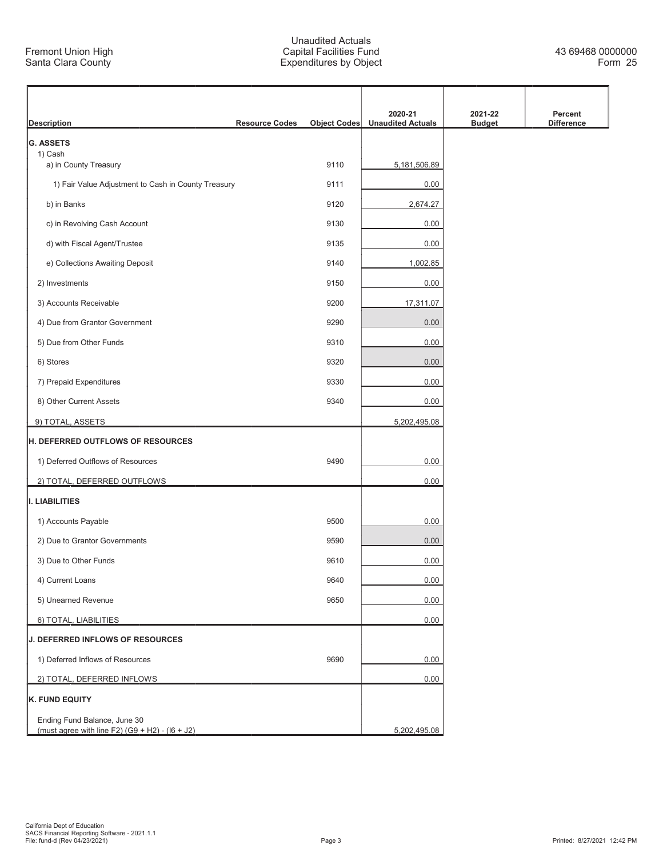# Unaudited Actuals Capital Facilities Fund Expenditures by Object

| <b>Description</b>                                                                | <b>Resource Codes</b> | <b>Object Codes</b> | 2020-21<br><b>Unaudited Actuals</b> | 2021-22<br><b>Budget</b> | Percent<br><b>Difference</b> |
|-----------------------------------------------------------------------------------|-----------------------|---------------------|-------------------------------------|--------------------------|------------------------------|
| <b>G. ASSETS</b>                                                                  |                       |                     |                                     |                          |                              |
| 1) Cash<br>a) in County Treasury                                                  |                       | 9110                | 5,181,506.89                        |                          |                              |
| 1) Fair Value Adjustment to Cash in County Treasury                               |                       | 9111                | 0.00                                |                          |                              |
| b) in Banks                                                                       |                       | 9120                | 2,674.27                            |                          |                              |
| c) in Revolving Cash Account                                                      |                       | 9130                | 0.00                                |                          |                              |
| d) with Fiscal Agent/Trustee                                                      |                       | 9135                | 0.00                                |                          |                              |
| e) Collections Awaiting Deposit                                                   |                       | 9140                | 1,002.85                            |                          |                              |
| 2) Investments                                                                    |                       | 9150                | 0.00                                |                          |                              |
| 3) Accounts Receivable                                                            |                       | 9200                | 17,311.07                           |                          |                              |
| 4) Due from Grantor Government                                                    |                       | 9290                | 0.00                                |                          |                              |
| 5) Due from Other Funds                                                           |                       | 9310                | 0.00                                |                          |                              |
| 6) Stores                                                                         |                       | 9320                | 0.00                                |                          |                              |
| 7) Prepaid Expenditures                                                           |                       | 9330                | 0.00                                |                          |                              |
| 8) Other Current Assets                                                           |                       | 9340                | 0.00                                |                          |                              |
| 9) TOTAL, ASSETS                                                                  |                       |                     | 5,202,495.08                        |                          |                              |
| H. DEFERRED OUTFLOWS OF RESOURCES                                                 |                       |                     |                                     |                          |                              |
| 1) Deferred Outflows of Resources                                                 |                       | 9490                | 0.00                                |                          |                              |
| 2) TOTAL, DEFERRED OUTFLOWS                                                       |                       |                     | 0.00                                |                          |                              |
| I. LIABILITIES                                                                    |                       |                     |                                     |                          |                              |
| 1) Accounts Payable                                                               |                       | 9500                | 0.00                                |                          |                              |
| 2) Due to Grantor Governments                                                     |                       | 9590                | 0.00                                |                          |                              |
| 3) Due to Other Funds                                                             |                       | 9610                | 0.00                                |                          |                              |
| 4) Current Loans                                                                  |                       | 9640                | 0.00                                |                          |                              |
| 5) Unearned Revenue                                                               |                       | 9650                | 0.00                                |                          |                              |
| 6) TOTAL, LIABILITIES                                                             |                       |                     | 0.00                                |                          |                              |
| <b>J. DEFERRED INFLOWS OF RESOURCES</b>                                           |                       |                     |                                     |                          |                              |
| 1) Deferred Inflows of Resources                                                  |                       | 9690                | 0.00                                |                          |                              |
| 2) TOTAL, DEFERRED INFLOWS                                                        |                       |                     | 0.00                                |                          |                              |
| <b>K. FUND EQUITY</b>                                                             |                       |                     |                                     |                          |                              |
| Ending Fund Balance, June 30<br>(must agree with line F2) $(G9 + H2) - (16 + J2)$ |                       |                     | 5,202,495.08                        |                          |                              |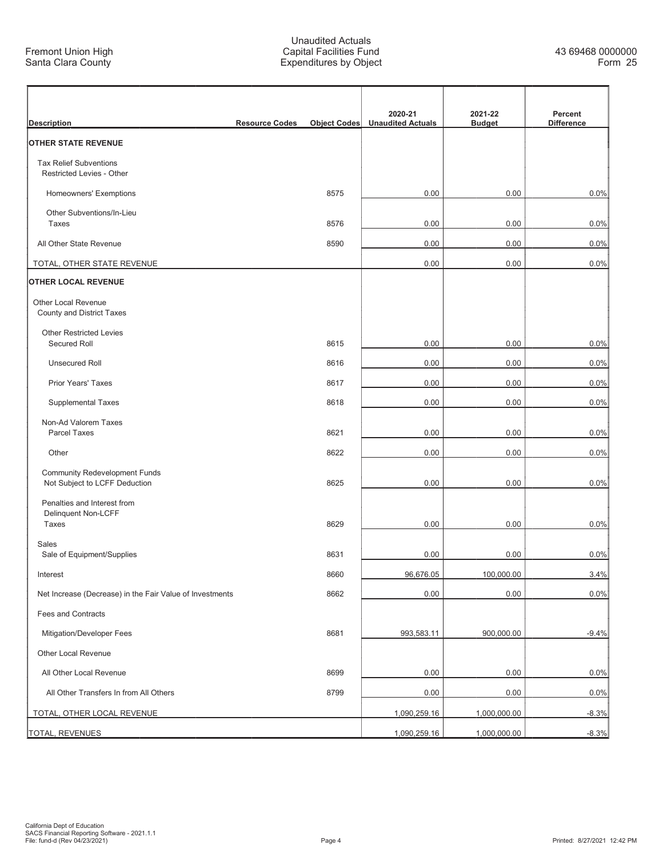F

## Unaudited Actuals Capital Facilities Fund Expenditures by Object

| <b>Description</b>                                                    | <b>Resource Codes</b> | <b>Object Codes</b> | 2020-21<br><b>Unaudited Actuals</b> | 2021-22<br><b>Budget</b> | Percent<br><b>Difference</b> |
|-----------------------------------------------------------------------|-----------------------|---------------------|-------------------------------------|--------------------------|------------------------------|
| <b>OTHER STATE REVENUE</b>                                            |                       |                     |                                     |                          |                              |
| <b>Tax Relief Subventions</b><br>Restricted Levies - Other            |                       |                     |                                     |                          |                              |
| Homeowners' Exemptions                                                |                       | 8575                | 0.00                                | 0.00                     | 0.0%                         |
| Other Subventions/In-Lieu<br>Taxes                                    |                       | 8576                | 0.00                                | 0.00                     | 0.0%                         |
| All Other State Revenue                                               |                       | 8590                | 0.00                                | 0.00                     | 0.0%                         |
| TOTAL, OTHER STATE REVENUE                                            |                       |                     | 0.00                                | 0.00                     | 0.0%                         |
| <b>OTHER LOCAL REVENUE</b>                                            |                       |                     |                                     |                          |                              |
| <b>Other Local Revenue</b><br><b>County and District Taxes</b>        |                       |                     |                                     |                          |                              |
| <b>Other Restricted Levies</b><br>Secured Roll                        |                       | 8615                | 0.00                                | 0.00                     | 0.0%                         |
| <b>Unsecured Roll</b>                                                 |                       | 8616                | 0.00                                | 0.00                     | 0.0%                         |
| <b>Prior Years' Taxes</b>                                             |                       | 8617                | 0.00                                | 0.00                     | 0.0%                         |
| <b>Supplemental Taxes</b>                                             |                       | 8618                | 0.00                                | 0.00                     | 0.0%                         |
| Non-Ad Valorem Taxes<br><b>Parcel Taxes</b>                           |                       | 8621                | 0.00                                | 0.00                     | 0.0%                         |
| Other                                                                 |                       | 8622                | 0.00                                | 0.00                     | 0.0%                         |
| <b>Community Redevelopment Funds</b><br>Not Subject to LCFF Deduction |                       | 8625                | 0.00                                | 0.00                     | 0.0%                         |
| Penalties and Interest from<br>Delinquent Non-LCFF<br>Taxes           |                       | 8629                | 0.00                                | 0.00                     | 0.0%                         |
| Sales<br>Sale of Equipment/Supplies                                   |                       | 8631                | 0.00                                | 0.00                     | 0.0%                         |
| Interest                                                              |                       | 8660                | 96,676.05                           | 100,000.00               | 3.4%                         |
| Net Increase (Decrease) in the Fair Value of Investments              |                       | 8662                | 0.00                                | 0.00                     | 0.0%                         |
| Fees and Contracts                                                    |                       |                     |                                     |                          |                              |
| Mitigation/Developer Fees                                             |                       | 8681                | 993,583.11                          | 900,000.00               | $-9.4%$                      |
| Other Local Revenue                                                   |                       |                     |                                     |                          |                              |
| All Other Local Revenue                                               |                       | 8699                | 0.00                                | 0.00                     | 0.0%                         |
| All Other Transfers In from All Others                                |                       | 8799                | 0.00                                | 0.00                     | 0.0%                         |
| TOTAL, OTHER LOCAL REVENUE                                            |                       |                     | 1,090,259.16                        | 1,000,000.00             | $-8.3%$                      |
| TOTAL, REVENUES                                                       |                       |                     | 1,090,259.16                        | 1,000,000.00             | $-8.3%$                      |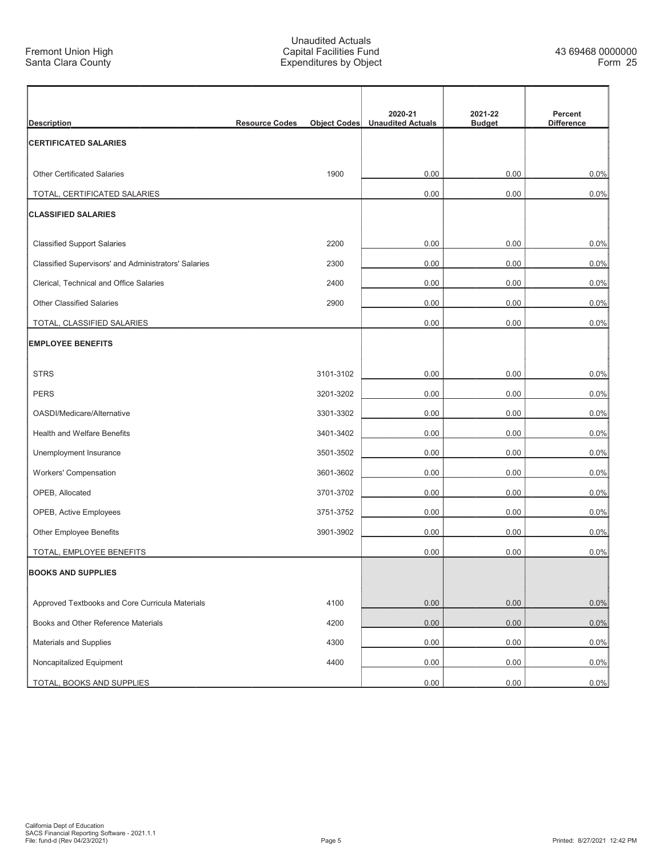F

## Unaudited Actuals Capital Facilities Fund Expenditures by Object

|                                                      |                       |                     | 2020-21                  | 2021-22       | Percent           |
|------------------------------------------------------|-----------------------|---------------------|--------------------------|---------------|-------------------|
| <b>Description</b>                                   | <b>Resource Codes</b> | <b>Object Codes</b> | <b>Unaudited Actuals</b> | <b>Budget</b> | <b>Difference</b> |
| <b>CERTIFICATED SALARIES</b>                         |                       |                     |                          |               |                   |
| <b>Other Certificated Salaries</b>                   |                       | 1900                | 0.00                     | 0.00          | 0.0%              |
| TOTAL, CERTIFICATED SALARIES                         |                       |                     | 0.00                     | 0.00          | 0.0%              |
| <b>CLASSIFIED SALARIES</b>                           |                       |                     |                          |               |                   |
| <b>Classified Support Salaries</b>                   |                       | 2200                | 0.00                     | 0.00          | 0.0%              |
| Classified Supervisors' and Administrators' Salaries |                       | 2300                | 0.00                     | 0.00          | 0.0%              |
| Clerical, Technical and Office Salaries              |                       | 2400                | 0.00                     | 0.00          | 0.0%              |
| <b>Other Classified Salaries</b>                     |                       | 2900                | 0.00                     | 0.00          | 0.0%              |
| TOTAL, CLASSIFIED SALARIES                           |                       |                     | 0.00                     | 0.00          | 0.0%              |
| <b>EMPLOYEE BENEFITS</b>                             |                       |                     |                          |               |                   |
| <b>STRS</b>                                          |                       | 3101-3102           | 0.00                     | 0.00          | 0.0%              |
| <b>PERS</b>                                          |                       | 3201-3202           | 0.00                     | 0.00          | 0.0%              |
| OASDI/Medicare/Alternative                           |                       | 3301-3302           | 0.00                     | 0.00          | 0.0%              |
| Health and Welfare Benefits                          |                       | 3401-3402           | 0.00                     | 0.00          | 0.0%              |
| Unemployment Insurance                               |                       | 3501-3502           | 0.00                     | 0.00          | 0.0%              |
| Workers' Compensation                                |                       | 3601-3602           | 0.00                     | 0.00          | 0.0%              |
| OPEB, Allocated                                      |                       | 3701-3702           | 0.00                     | 0.00          | 0.0%              |
| OPEB, Active Employees                               |                       | 3751-3752           | 0.00                     | 0.00          | 0.0%              |
| Other Employee Benefits                              |                       | 3901-3902           | 0.00                     | 0.00          | 0.0%              |
| TOTAL, EMPLOYEE BENEFITS                             |                       |                     | 0.00                     | 0.00          | 0.0%              |
| <b>BOOKS AND SUPPLIES</b>                            |                       |                     |                          |               |                   |
| Approved Textbooks and Core Curricula Materials      |                       | 4100                | 0.00                     | 0.00          | 0.0%              |
| Books and Other Reference Materials                  |                       | 4200                | 0.00                     | 0.00          | 0.0%              |
| Materials and Supplies                               |                       | 4300                | 0.00                     | 0.00          | 0.0%              |
| Noncapitalized Equipment                             |                       | 4400                | 0.00                     | 0.00          | 0.0%              |
| TOTAL, BOOKS AND SUPPLIES                            |                       |                     | 0.00                     | 0.00          | 0.0%              |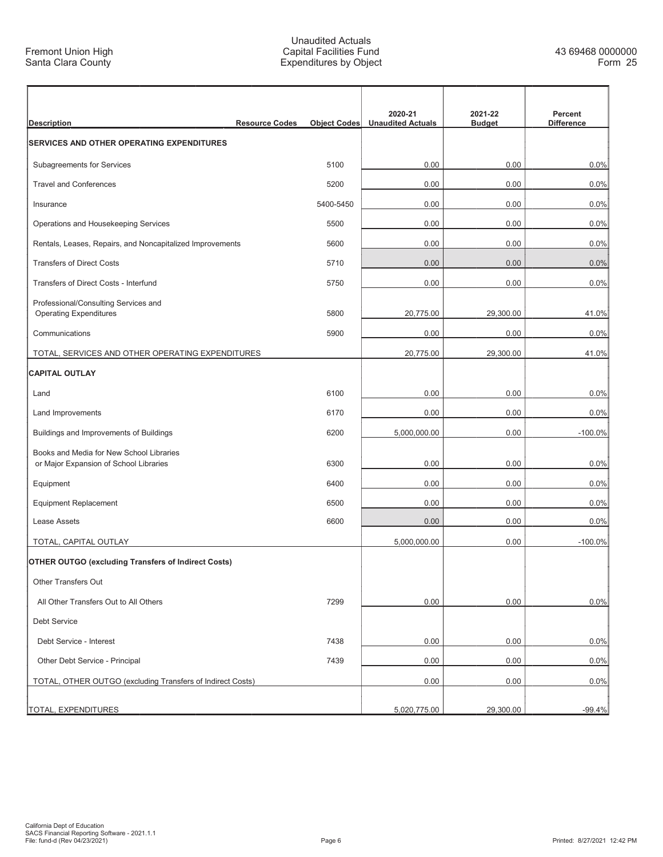F

## Unaudited Actuals Capital Facilities Fund Expenditures by Object

| <b>Description</b>                                                                 | <b>Resource Codes</b> | <b>Object Codes</b> | 2020-21<br><b>Unaudited Actuals</b> | 2021-22<br><b>Budget</b> | Percent<br><b>Difference</b> |
|------------------------------------------------------------------------------------|-----------------------|---------------------|-------------------------------------|--------------------------|------------------------------|
| SERVICES AND OTHER OPERATING EXPENDITURES                                          |                       |                     |                                     |                          |                              |
| Subagreements for Services                                                         |                       | 5100                | 0.00                                | 0.00                     | 0.0%                         |
| <b>Travel and Conferences</b>                                                      |                       | 5200                | 0.00                                | 0.00                     | 0.0%                         |
| Insurance                                                                          |                       | 5400-5450           | 0.00                                | 0.00                     | 0.0%                         |
| Operations and Housekeeping Services                                               |                       | 5500                | 0.00                                | 0.00                     | 0.0%                         |
| Rentals, Leases, Repairs, and Noncapitalized Improvements                          |                       | 5600                | 0.00                                | 0.00                     | 0.0%                         |
| <b>Transfers of Direct Costs</b>                                                   |                       | 5710                | 0.00                                | 0.00                     | 0.0%                         |
| Transfers of Direct Costs - Interfund                                              |                       | 5750                | 0.00                                | 0.00                     | 0.0%                         |
| Professional/Consulting Services and<br><b>Operating Expenditures</b>              |                       | 5800                | 20,775.00                           | 29,300.00                | 41.0%                        |
| Communications                                                                     |                       | 5900                | 0.00                                | 0.00                     | 0.0%                         |
| TOTAL, SERVICES AND OTHER OPERATING EXPENDITURES                                   |                       |                     | 20,775.00                           | 29,300.00                | 41.0%                        |
| <b>CAPITAL OUTLAY</b>                                                              |                       |                     |                                     |                          |                              |
| Land                                                                               |                       | 6100                | 0.00                                | 0.00                     | 0.0%                         |
| Land Improvements                                                                  |                       | 6170                | 0.00                                | 0.00                     | 0.0%                         |
| Buildings and Improvements of Buildings                                            |                       | 6200                | 5,000,000.00                        | 0.00                     | $-100.0%$                    |
| Books and Media for New School Libraries<br>or Major Expansion of School Libraries |                       | 6300                | 0.00                                | 0.00                     | 0.0%                         |
| Equipment                                                                          |                       | 6400                | 0.00                                | 0.00                     | 0.0%                         |
| <b>Equipment Replacement</b>                                                       |                       | 6500                | 0.00                                | 0.00                     | 0.0%                         |
| <b>Lease Assets</b>                                                                |                       | 6600                | 0.00                                | 0.00                     | 0.0%                         |
| TOTAL, CAPITAL OUTLAY                                                              |                       |                     | 5,000,000.00                        | 0.00                     | $-100.0%$                    |
| <b>OTHER OUTGO (excluding Transfers of Indirect Costs)</b>                         |                       |                     |                                     |                          |                              |
| Other Transfers Out                                                                |                       |                     |                                     |                          |                              |
| All Other Transfers Out to All Others                                              |                       | 7299                | 0.00                                | 0.00                     | 0.0%                         |
| <b>Debt Service</b>                                                                |                       |                     |                                     |                          |                              |
| Debt Service - Interest                                                            |                       | 7438                | 0.00                                | 0.00                     | 0.0%                         |
| Other Debt Service - Principal                                                     |                       | 7439                | 0.00                                | 0.00                     | 0.0%                         |
| TOTAL, OTHER OUTGO (excluding Transfers of Indirect Costs)                         |                       |                     | 0.00                                | 0.00                     | 0.0%                         |
| TOTAL, EXPENDITURES                                                                |                       |                     | 5,020,775.00                        | 29,300.00                | $-99.4%$                     |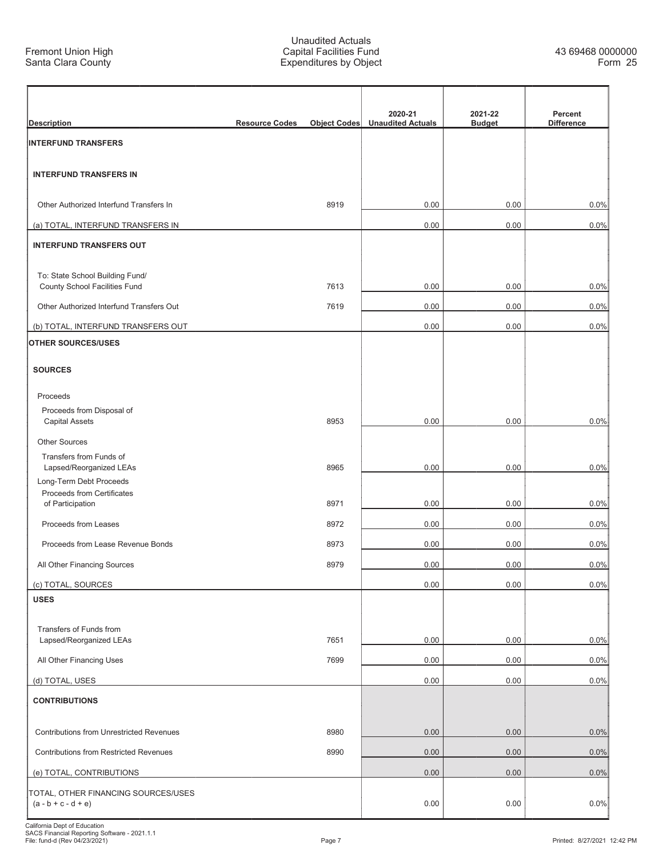r

## Unaudited Actuals Capital Facilities Fund Expenditures by Object

| <b>Description</b>                                                        | <b>Resource Codes</b> | <b>Object Codes</b> | 2020-21<br><b>Unaudited Actuals</b> | 2021-22<br><b>Budget</b> | Percent<br><b>Difference</b> |
|---------------------------------------------------------------------------|-----------------------|---------------------|-------------------------------------|--------------------------|------------------------------|
| <b>INTERFUND TRANSFERS</b>                                                |                       |                     |                                     |                          |                              |
| <b>INTERFUND TRANSFERS IN</b>                                             |                       |                     |                                     |                          |                              |
| Other Authorized Interfund Transfers In                                   |                       | 8919                | 0.00                                | 0.00                     | 0.0%                         |
| (a) TOTAL, INTERFUND TRANSFERS IN                                         |                       |                     | 0.00                                | 0.00                     | 0.0%                         |
| <b>INTERFUND TRANSFERS OUT</b>                                            |                       |                     |                                     |                          |                              |
| To: State School Building Fund/<br>County School Facilities Fund          |                       | 7613                | 0.00                                | 0.00                     | 0.0%                         |
| Other Authorized Interfund Transfers Out                                  |                       | 7619                | 0.00                                | 0.00                     | 0.0%                         |
| (b) TOTAL, INTERFUND TRANSFERS OUT                                        |                       |                     | 0.00                                | 0.00                     | 0.0%                         |
| <b>OTHER SOURCES/USES</b>                                                 |                       |                     |                                     |                          |                              |
| <b>SOURCES</b>                                                            |                       |                     |                                     |                          |                              |
| Proceeds                                                                  |                       |                     |                                     |                          |                              |
| Proceeds from Disposal of<br><b>Capital Assets</b>                        |                       | 8953                | 0.00                                | 0.00                     | 0.0%                         |
| <b>Other Sources</b>                                                      |                       |                     |                                     |                          |                              |
| Transfers from Funds of<br>Lapsed/Reorganized LEAs                        |                       | 8965                | 0.00                                | 0.00                     | 0.0%                         |
| Long-Term Debt Proceeds<br>Proceeds from Certificates<br>of Participation |                       | 8971                | 0.00                                | 0.00                     | 0.0%                         |
| Proceeds from Leases                                                      |                       | 8972                | 0.00                                | 0.00                     | 0.0%                         |
| Proceeds from Lease Revenue Bonds                                         |                       | 8973                | 0.00                                | 0.00                     | 0.0%                         |
| All Other Financing Sources                                               |                       | 8979                | 0.00                                | 0.00                     | 0.0%                         |
| (c) TOTAL, SOURCES                                                        |                       |                     | 0.00                                | 0.00                     | 0.0%                         |
| <b>USES</b>                                                               |                       |                     |                                     |                          |                              |
| Transfers of Funds from                                                   |                       |                     |                                     |                          |                              |
| Lapsed/Reorganized LEAs                                                   |                       | 7651                | 0.00                                | 0.00                     | 0.0%                         |
| All Other Financing Uses                                                  |                       | 7699                | 0.00                                | 0.00                     | 0.0%                         |
| (d) TOTAL, USES                                                           |                       |                     | 0.00                                | 0.00                     | 0.0%                         |
| <b>CONTRIBUTIONS</b>                                                      |                       |                     |                                     |                          |                              |
| <b>Contributions from Unrestricted Revenues</b>                           |                       | 8980                | 0.00                                | 0.00                     | 0.0%                         |
| <b>Contributions from Restricted Revenues</b>                             |                       | 8990                | 0.00                                | 0.00                     | 0.0%                         |
| (e) TOTAL, CONTRIBUTIONS                                                  |                       |                     | 0.00                                | 0.00                     | 0.0%                         |
| TOTAL, OTHER FINANCING SOURCES/USES<br>$(a - b + c - d + e)$              |                       |                     | 0.00                                | 0.00                     | 0.0%                         |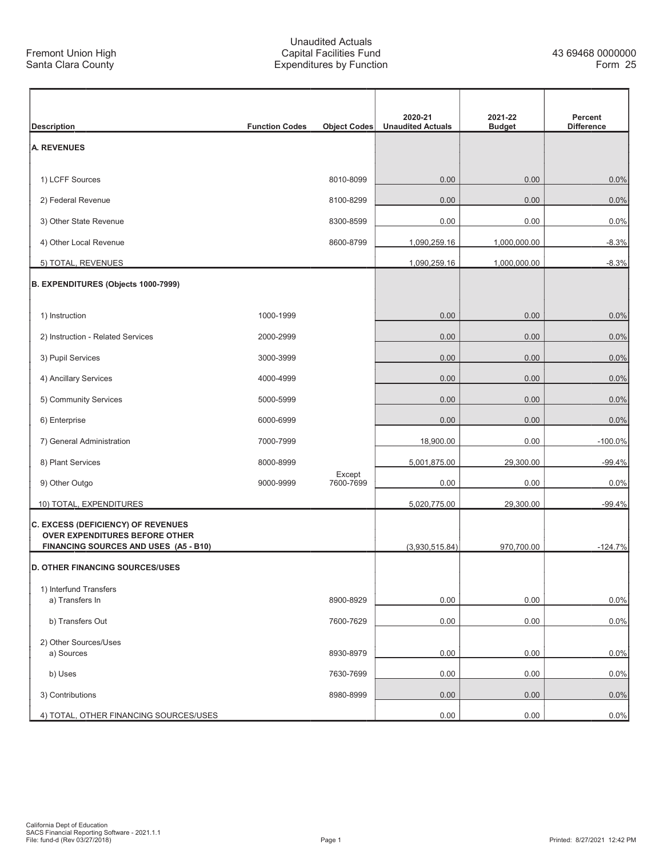# Unaudited Actuals Capital Facilities Fund Expenditures by Function

| <b>Description</b>                                                             | <b>Function Codes</b> | <b>Object Codes</b> | 2020-21<br><b>Unaudited Actuals</b> | 2021-22<br><b>Budget</b> | Percent<br><b>Difference</b> |
|--------------------------------------------------------------------------------|-----------------------|---------------------|-------------------------------------|--------------------------|------------------------------|
| <b>A. REVENUES</b>                                                             |                       |                     |                                     |                          |                              |
|                                                                                |                       |                     |                                     |                          |                              |
| 1) LCFF Sources                                                                |                       | 8010-8099           | 0.00                                | 0.00                     | 0.0%                         |
| 2) Federal Revenue                                                             |                       | 8100-8299           | 0.00                                | 0.00                     | 0.0%                         |
| 3) Other State Revenue                                                         |                       | 8300-8599           | 0.00                                | 0.00                     | 0.0%                         |
| 4) Other Local Revenue                                                         |                       | 8600-8799           | 1,090,259.16                        | 1,000,000.00             | $-8.3%$                      |
| 5) TOTAL, REVENUES                                                             |                       |                     | 1,090,259.16                        | 1,000,000.00             | $-8.3%$                      |
| B. EXPENDITURES (Objects 1000-7999)                                            |                       |                     |                                     |                          |                              |
| 1) Instruction                                                                 | 1000-1999             |                     | 0.00                                | 0.00                     | 0.0%                         |
|                                                                                |                       |                     |                                     |                          |                              |
| 2) Instruction - Related Services                                              | 2000-2999             |                     | 0.00                                | 0.00                     | 0.0%                         |
| 3) Pupil Services                                                              | 3000-3999             |                     | 0.00                                | 0.00                     | 0.0%                         |
| 4) Ancillary Services                                                          | 4000-4999             |                     | 0.00                                | 0.00                     | 0.0%                         |
| 5) Community Services                                                          | 5000-5999             |                     | 0.00                                | 0.00                     | 0.0%                         |
| 6) Enterprise                                                                  | 6000-6999             |                     | 0.00                                | 0.00                     | 0.0%                         |
| 7) General Administration                                                      | 7000-7999             |                     | 18,900.00                           | 0.00                     | $-100.0%$                    |
| 8) Plant Services                                                              | 8000-8999             |                     | 5,001,875.00                        | 29,300.00                | $-99.4%$                     |
| 9) Other Outgo                                                                 | 9000-9999             | Except<br>7600-7699 | 0.00                                | 0.00                     | 0.0%                         |
| 10) TOTAL, EXPENDITURES                                                        |                       |                     | 5,020,775.00                        | 29,300.00                | $-99.4%$                     |
| <b>C. EXCESS (DEFICIENCY) OF REVENUES</b>                                      |                       |                     |                                     |                          |                              |
| <b>OVER EXPENDITURES BEFORE OTHER</b><br>FINANCING SOURCES AND USES (A5 - B10) |                       |                     | (3,930,515.84)                      | 970,700.00               | $-124.7%$                    |
| <b>D. OTHER FINANCING SOURCES/USES</b>                                         |                       |                     |                                     |                          |                              |
| 1) Interfund Transfers                                                         |                       |                     |                                     |                          |                              |
| a) Transfers In                                                                |                       | 8900-8929           | 0.00                                | 0.00                     | 0.0%                         |
| b) Transfers Out                                                               |                       | 7600-7629           | 0.00                                | 0.00                     | 0.0%                         |
| 2) Other Sources/Uses<br>a) Sources                                            |                       |                     |                                     |                          |                              |
|                                                                                |                       | 8930-8979           | 0.00                                | 0.00                     | 0.0%                         |
| b) Uses                                                                        |                       | 7630-7699           | 0.00                                | 0.00                     | 0.0%                         |
| 3) Contributions                                                               |                       | 8980-8999           | 0.00                                | 0.00                     | 0.0%                         |
| 4) TOTAL, OTHER FINANCING SOURCES/USES                                         |                       |                     | 0.00                                | 0.00                     | 0.0%                         |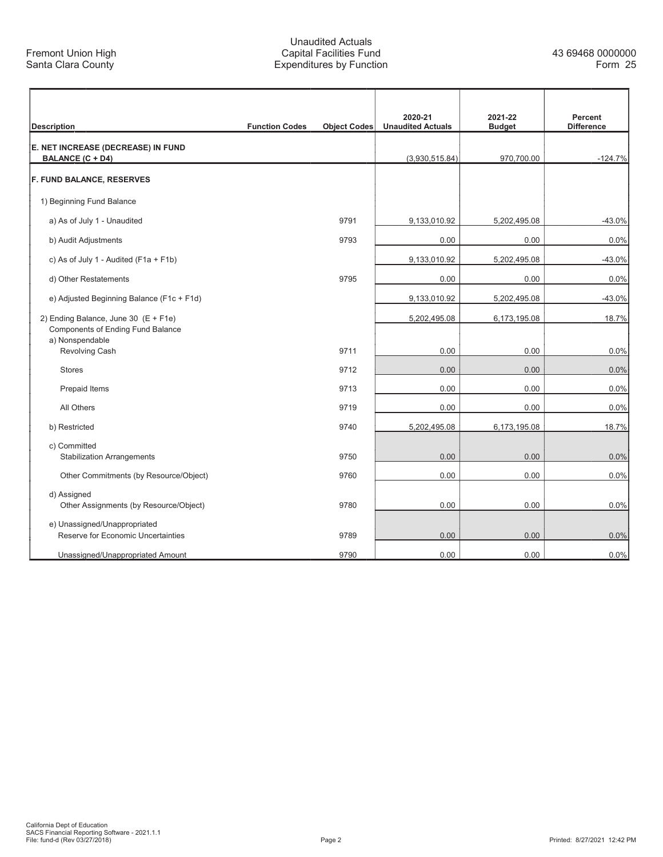r

# Unaudited Actuals Capital Facilities Fund Expenditures by Function

|                                                                                                |                       |                     | 2020-21                  | 2021-22       | Percent           |
|------------------------------------------------------------------------------------------------|-----------------------|---------------------|--------------------------|---------------|-------------------|
| <b>Description</b>                                                                             | <b>Function Codes</b> | <b>Object Codes</b> | <b>Unaudited Actuals</b> | <b>Budget</b> | <b>Difference</b> |
| E. NET INCREASE (DECREASE) IN FUND<br><b>BALANCE (C + D4)</b>                                  |                       |                     | (3,930,515.84)           | 970,700.00    | $-124.7%$         |
| <b>F. FUND BALANCE, RESERVES</b>                                                               |                       |                     |                          |               |                   |
| 1) Beginning Fund Balance                                                                      |                       |                     |                          |               |                   |
| a) As of July 1 - Unaudited                                                                    |                       | 9791                | 9,133,010.92             | 5,202,495.08  | $-43.0%$          |
| b) Audit Adjustments                                                                           |                       | 9793                | 0.00                     | 0.00          | 0.0%              |
| c) As of July 1 - Audited ( $F1a + F1b$ )                                                      |                       |                     | 9,133,010.92             | 5,202,495.08  | $-43.0%$          |
| d) Other Restatements                                                                          |                       | 9795                | 0.00                     | 0.00          | 0.0%              |
| e) Adjusted Beginning Balance (F1c + F1d)                                                      |                       |                     | 9,133,010.92             | 5,202,495.08  | $-43.0%$          |
| 2) Ending Balance, June 30 $(E + F1e)$<br>Components of Ending Fund Balance<br>a) Nonspendable |                       |                     | 5,202,495.08             | 6,173,195.08  | 18.7%             |
| Revolving Cash                                                                                 |                       | 9711                | 0.00                     | 0.00          | 0.0%              |
| <b>Stores</b>                                                                                  |                       | 9712                | 0.00                     | 0.00          | 0.0%              |
| Prepaid Items                                                                                  |                       | 9713                | 0.00                     | 0.00          | 0.0%              |
| All Others                                                                                     |                       | 9719                | 0.00                     | 0.00          | 0.0%              |
| b) Restricted                                                                                  |                       | 9740                | 5,202,495.08             | 6,173,195.08  | 18.7%             |
| c) Committed<br><b>Stabilization Arrangements</b>                                              |                       | 9750                | 0.00                     | 0.00          | 0.0%              |
| Other Commitments (by Resource/Object)                                                         |                       | 9760                | 0.00                     | 0.00          | 0.0%              |
| d) Assigned<br>Other Assignments (by Resource/Object)                                          |                       | 9780                | 0.00                     | 0.00          | 0.0%              |
| e) Unassigned/Unappropriated<br>Reserve for Economic Uncertainties                             |                       | 9789                | 0.00                     | 0.00          | 0.0%              |
| Unassigned/Unappropriated Amount                                                               |                       | 9790                | 0.00                     | 0.00          | 0.0%              |